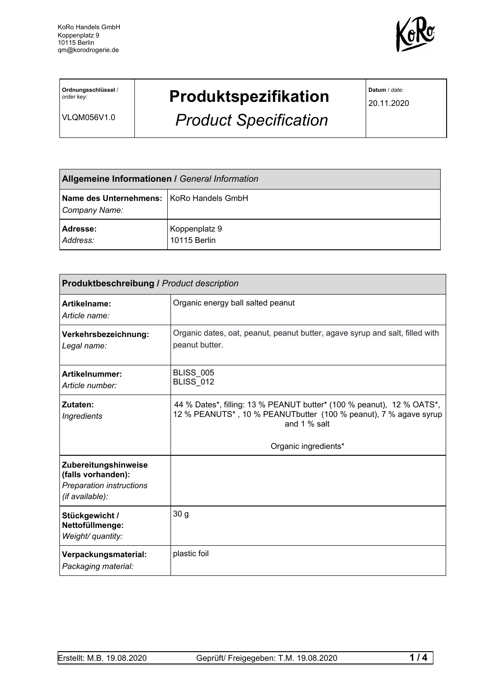

**Ordnungsschlüssel** / *order key:*

VLQM056V1.0

## **Produktspezifikation**

*Product Specification*

**Datum** / *date:*

20.11.2020

| <b>Allgemeine Informationen / General Information</b>     |                               |  |
|-----------------------------------------------------------|-------------------------------|--|
| Name des Unternehmens: KoRo Handels GmbH<br>Company Name: |                               |  |
| <b>Adresse:</b><br>Address:                               | Koppenplatz 9<br>10115 Berlin |  |

| <b>Produktbeschreibung / Product description</b>                                                 |                                                                                                                                                                                   |  |  |
|--------------------------------------------------------------------------------------------------|-----------------------------------------------------------------------------------------------------------------------------------------------------------------------------------|--|--|
| Artikelname:<br>Article name:                                                                    | Organic energy ball salted peanut                                                                                                                                                 |  |  |
| Verkehrsbezeichnung:<br>Legal name:                                                              | Organic dates, oat, peanut, peanut butter, agave syrup and salt, filled with<br>peanut butter.                                                                                    |  |  |
| Artikelnummer:<br>Article number:                                                                | <b>BLISS 005</b><br><b>BLISS_012</b>                                                                                                                                              |  |  |
| Zutaten:<br>Ingredients                                                                          | 44 % Dates*, filling: 13 % PEANUT butter* (100 % peanut), 12 % OATS*,<br>12 % PEANUTS*, 10 % PEANUTbutter (100 % peanut), 7 % agave syrup<br>and 1 % salt<br>Organic ingredients* |  |  |
| Zubereitungshinweise<br>(falls vorhanden):<br><b>Preparation instructions</b><br>(if available): |                                                                                                                                                                                   |  |  |
| Stückgewicht /<br>Nettofüllmenge:<br>Weight/ quantity:                                           | 30 <sub>g</sub>                                                                                                                                                                   |  |  |
| Verpackungsmaterial:<br>Packaging material:                                                      | plastic foil                                                                                                                                                                      |  |  |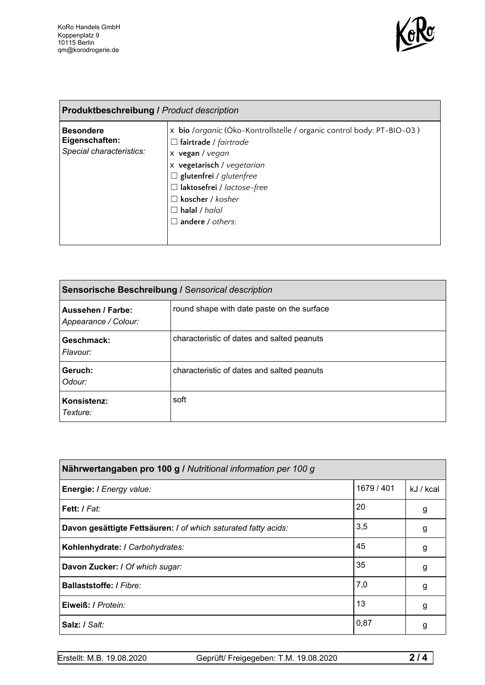

| <b>Produktbeschreibung / Product description</b>               |                                                                                                                                                                                                                                                                                             |  |
|----------------------------------------------------------------|---------------------------------------------------------------------------------------------------------------------------------------------------------------------------------------------------------------------------------------------------------------------------------------------|--|
| <b>Besondere</b><br>Eigenschaften:<br>Special characteristics: | x bio /organic (Öko-Kontrollstelle / organic control body: PT-BIO-03)<br>fairtrade / fairtrade<br>$\sqcup$<br>x vegan / vegan<br>x vegetarisch / vegetarian<br>$\Box$ glutenfrei / glutenfree<br>$\Box$ laktosefrei / lactose-free<br>koscher / kosher<br>halal / halal<br>andere / others: |  |

| Sensorische Beschreibung / Sensorical description |                                            |  |
|---------------------------------------------------|--------------------------------------------|--|
| <b>Aussehen / Farbe:</b><br>Appearance / Colour:  | round shape with date paste on the surface |  |
| Geschmack:<br>Flavour:                            | characteristic of dates and salted peanuts |  |
| Geruch:<br>Odour:                                 | characteristic of dates and salted peanuts |  |
| Konsistenz:<br>Texture:                           | soft                                       |  |

| Nährwertangaben pro 100 g / Nutritional information per 100 g  |            |           |  |
|----------------------------------------------------------------|------------|-----------|--|
| Energie: I Energy value:                                       | 1679 / 401 | kJ / kcal |  |
| Fett: I Fat:                                                   | 20         | g         |  |
| Davon gesättigte Fettsäuren: I of which saturated fatty acids: | 3,5        | g         |  |
| Kohlenhydrate: I Carbohydrates:                                | 45         | g         |  |
| Davon Zucker: I Of which sugar:                                | 35         | g         |  |
| <b>Ballaststoffe: / Fibre:</b>                                 | 7,0        | g         |  |
| Eiweiß: / Protein:                                             | 13         | g         |  |
| Salz: / Salt:                                                  | 0,87       | g         |  |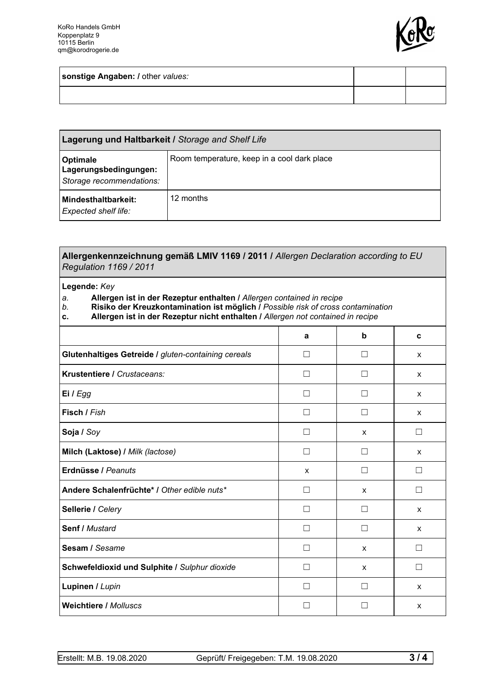

**sonstige Angaben: /** other *values:*

| <b>Lagerung und Haltbarkeit / Storage and Shelf Life</b>             |                                             |  |
|----------------------------------------------------------------------|---------------------------------------------|--|
| <b>Optimale</b><br>Lagerungsbedingungen:<br>Storage recommendations: | Room temperature, keep in a cool dark place |  |
| Mindesthaltbarkeit:<br><b>Expected shelf life:</b>                   | 12 months                                   |  |

| Allergenkennzeichnung gemäß LMIV 1169 / 2011 / Allergen Declaration according to EU<br><b>Regulation 1169 / 2011</b>                                                                                                                                                           |        |             |   |
|--------------------------------------------------------------------------------------------------------------------------------------------------------------------------------------------------------------------------------------------------------------------------------|--------|-------------|---|
| Legende: Key<br>Allergen ist in der Rezeptur enthalten / Allergen contained in recipe<br>a.<br>Risiko der Kreuzkontamination ist möglich / Possible risk of cross contamination<br>b.<br>Allergen ist in der Rezeptur nicht enthalten / Allergen not contained in recipe<br>c. |        |             |   |
|                                                                                                                                                                                                                                                                                | a      | $\mathbf b$ | c |
| Glutenhaltiges Getreide / gluten-containing cereals                                                                                                                                                                                                                            | П      | П           | X |
| Krustentiere / Crustaceans:                                                                                                                                                                                                                                                    | $\Box$ | □           | X |
| Ei / Egg                                                                                                                                                                                                                                                                       | П      | □           | X |
| Fisch / Fish                                                                                                                                                                                                                                                                   | П      | П           | x |
| Soja / Soy                                                                                                                                                                                                                                                                     | П      | X           | П |
| Milch (Laktose) / Milk (lactose)                                                                                                                                                                                                                                               | П      | $\Box$      | x |
| Erdnüsse / Peanuts                                                                                                                                                                                                                                                             | X      | П           | П |
| Andere Schalenfrüchte* / Other edible nuts*                                                                                                                                                                                                                                    | П      | x           | П |
| Sellerie / Celery                                                                                                                                                                                                                                                              | П      | П           | X |
| Senf / Mustard                                                                                                                                                                                                                                                                 | П      | П           | X |
| Sesam / Sesame                                                                                                                                                                                                                                                                 | П      | X           | П |
| Schwefeldioxid und Sulphite / Sulphur dioxide                                                                                                                                                                                                                                  | П      | X           | П |
| Lupinen / Lupin                                                                                                                                                                                                                                                                | П      | П           | X |
| <b>Weichtiere / Molluscs</b><br>П<br>П                                                                                                                                                                                                                                         |        |             | x |